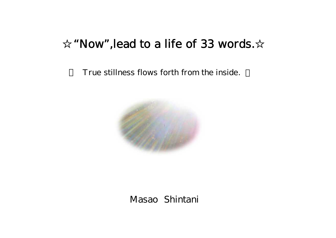## "Now", lead to a life of 33 words.

True stillness flows forth from the inside.



Masao Shintani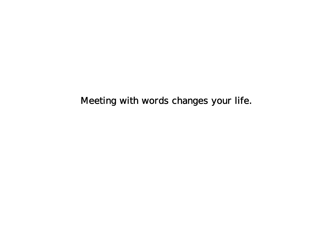Meeting with words changes your life.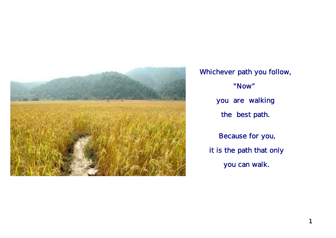

 Whichever path you follow, you are walking Because for you, it is the path that only you can walk. "Now" the best path.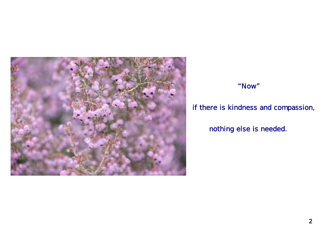

#### "Now"

## if there is kindness and compassion,

nothing else is needed.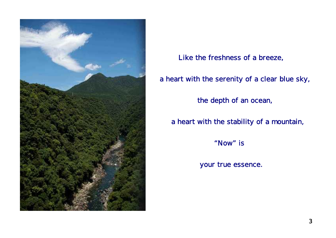

Like the freshness of a breeze,

a heart with the serenity of a clear blue sky,

the depth of an ocean,

a heart with the stability of a mountain,

"Now" is

your true essence.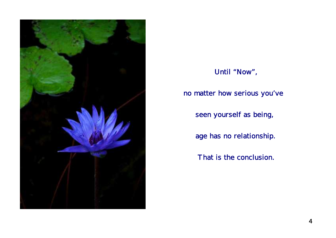

# age has no relationship. That is the conclusion. Until "Now", seen yourself as being, no matter how serious you've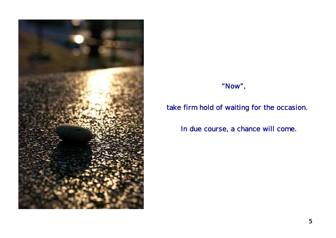

## "Now",

## take firm hold of waiting for the occasion.

In due course, a chance will come.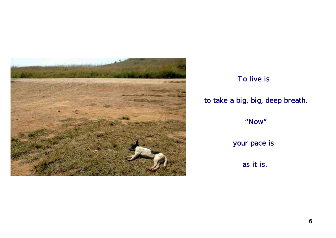

# To live is to take a big, big, deep breath. "Now" your pace is as it is.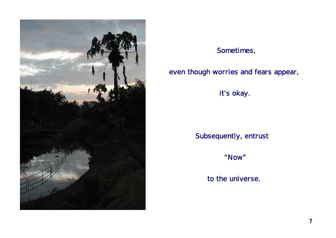

#### Sometimes,

#### even though worries and fears appear,

it's okay.

Subsequently, entrust

"Now"

to the universe.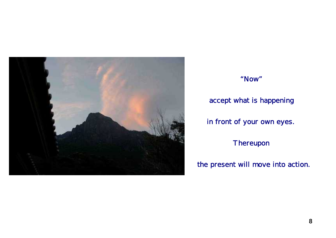

 "Now" accept what is happening in front of your own eyes. Thereupon

#### the present will move into action.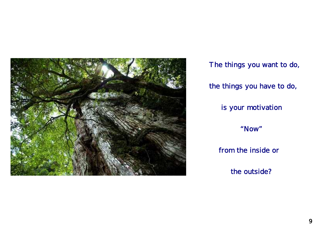

 The things you want to do, the things you have to do, is your motivation "Now" from the inside or

the outside?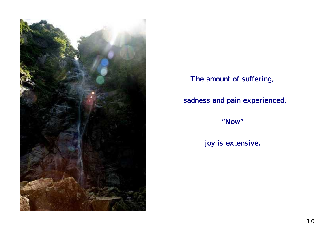

## The amount of suffering,

## sadness and pain experienced,

"Now"

joy is extensive.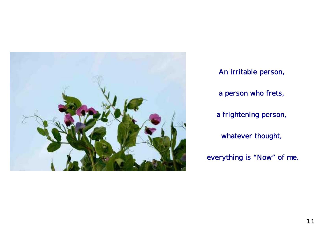

 An irritable person, a person who frets, a frightening person, whatever thought, everything is "Now" of me.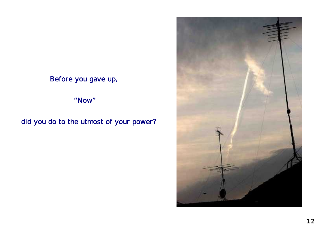Before you gave up,

"Now"

did you do to the utmost of your power?

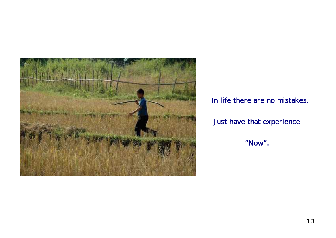

In life there are no mistakes.

## Just have that experience

"Now".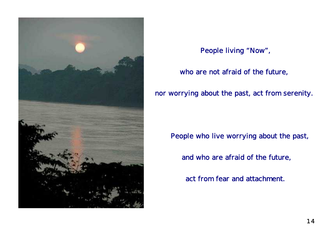

People living "Now",

#### who are not afraid of the future,

nor worrying about the past, act from serenity.

People who live worrying about the past,

and who are afraid of the future,

act from fear and attachment.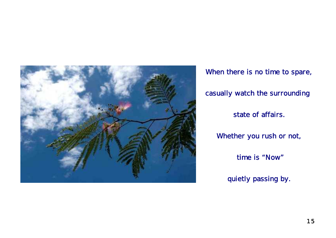![](_page_16_Picture_0.jpeg)

 time is "Now" quietly passing by. When there is no time to spare, state of affairs. casually watch the surrounding Whether you rush or not,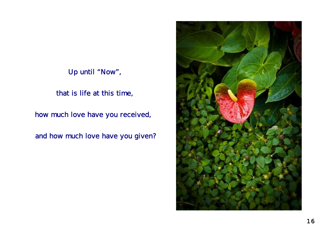Up until "Now",

that is life at this time,

how much love have you received,

and how much love have you given?

![](_page_17_Picture_4.jpeg)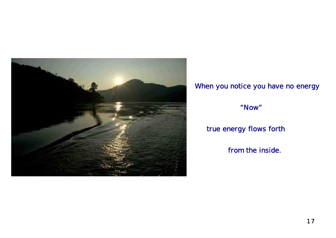![](_page_18_Picture_0.jpeg)

## When you notice you have no energy

"Now"

## true energy flows forth

from the inside.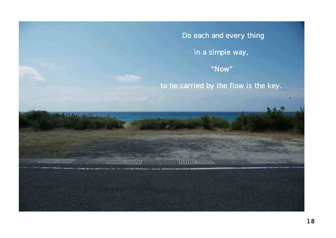Do each and every thing

in a simple way,

"Now"

to be carried by the flow is the key.

**All Card** 

*<u>INVINSIVITYS</u>* 

16 Complete Charles

munann

**CONTRACTOR**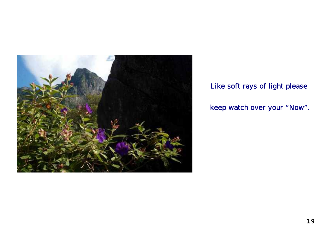![](_page_20_Picture_0.jpeg)

## Like soft rays of light please

keep watch over your "Now".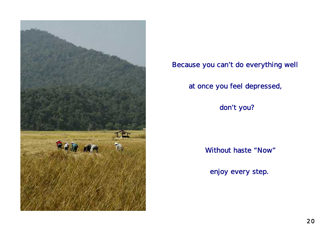![](_page_21_Picture_0.jpeg)

Because you can't do everything well

at once you feel depressed,

don't you?

Without haste "Now"

enjoy every step.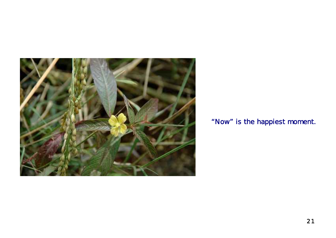![](_page_22_Picture_0.jpeg)

## "Now" is the happiest moment.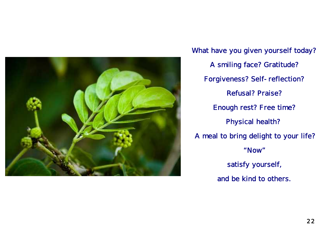![](_page_23_Picture_0.jpeg)

What have you given yourself today? Forgiveness? Self-reflection? Refusal? Praise? A smiling face? Gratitude? satisfy yourself, and be kind to others. Enough rest? Free time? Physical health? A meal to bring delight to your life? "Now"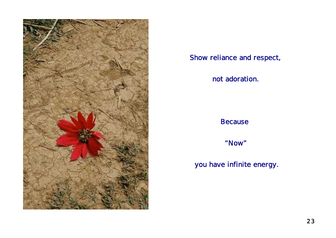![](_page_24_Picture_0.jpeg)

#### Show reliance and respect,

#### not adoration.

#### Because

"Now"

## you have infinite energy.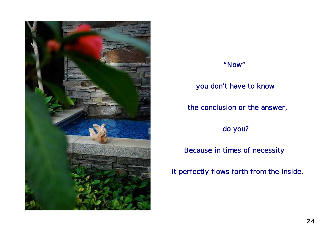![](_page_25_Picture_0.jpeg)

#### "Now"

#### you don't have to know

the conclusion or the answer,

do you?

Because in times of necessity

it perfectly flows forth from the inside.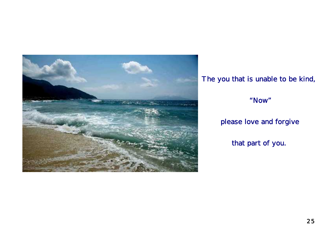![](_page_26_Picture_0.jpeg)

## The you that is unable to be kind,

#### "Now"

## please love and forgive

that part of you.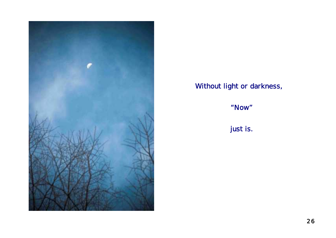![](_page_27_Picture_0.jpeg)

## Without light or darkness,

"Now"

just is.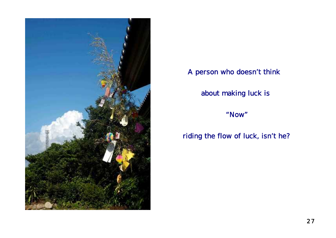![](_page_28_Picture_0.jpeg)

## A person who doesn't think

about making luck is

"Now"

riding the flow of luck, isn't he?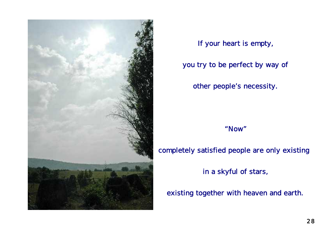![](_page_29_Picture_0.jpeg)

If your heart is empty,

you try to be perfect by way of

other people's necessity.

"Now"

#### completely satisfied people are only existing

in a skyful of stars,

existing together with heaven and earth.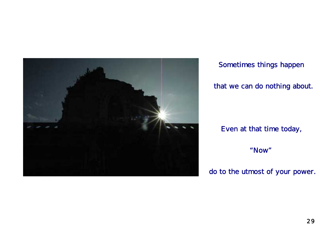![](_page_30_Picture_0.jpeg)

Sometimes things happen

#### that we can do nothing about.

Even at that time today,

"Now"

do to the utmost of your power.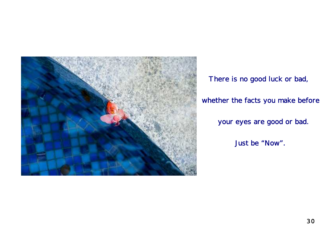![](_page_31_Picture_0.jpeg)

There is no good luck or bad, Just be "Now". your eyes are good or bad. whether the facts you make before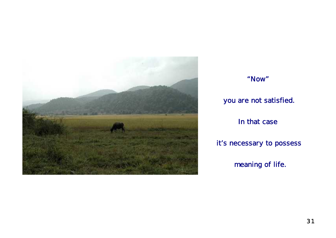![](_page_32_Picture_0.jpeg)

![](_page_32_Figure_1.jpeg)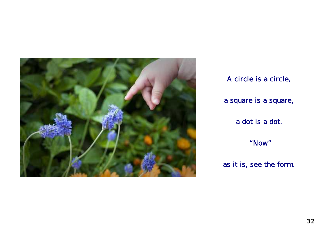![](_page_33_Picture_0.jpeg)

A circle is a circle, a square is a square, a dot is a dot. "Now"

as it is, see the form.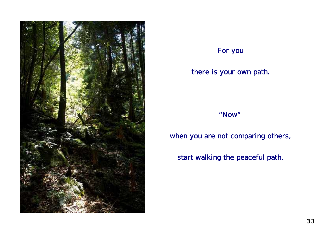![](_page_34_Picture_0.jpeg)

## For you

#### there is your own path.

#### "Now"

when you are not comparing others,

start walking the peaceful path.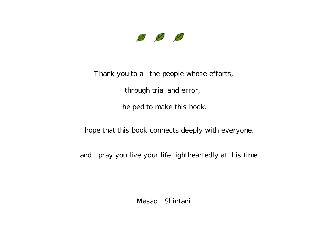![](_page_35_Picture_0.jpeg)

Thank you to all the people whose efforts,

through trial and error,

helped to make this book.

I hope that this book connects deeply with everyone,

and I pray you live your life lightheartedly at this time.

Masao Shintani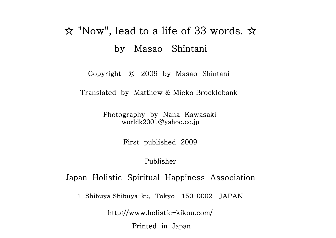## $\hat{\mathcal{R}}$  "Now", lead to a life of 33 words.  $\hat{\mathcal{R}}$ by Masao Shintani

Copyright © 2009 by Masao Shintani

Translated by Matthew & Mieko Brocklebank

Photography by Nana Kawasaki worldk2001@yahoo.co.jp

First published 2009

#### Publisher

Japan Holistic Spiritual Happiness Association

1 Shibuya Shibuya-ku, Tokyo 150-0002 JAPAN

http://www.holistic-kikou.com/

Printed in Japan